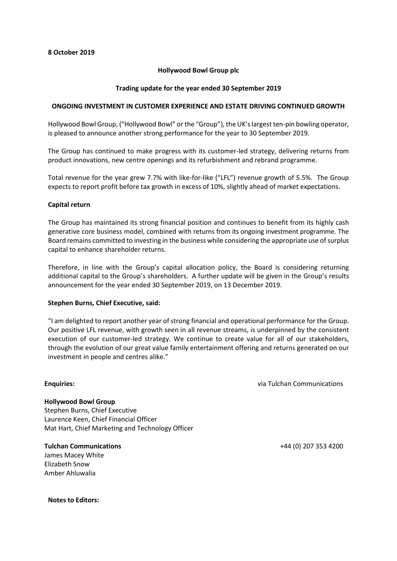# **Hollywood Bowl Group plc**

# **Trading update for the year ended 30 September 2019**

## **ONGOING INVESTMENT IN CUSTOMER EXPERIENCE AND ESTATE DRIVING CONTINUED GROWTH**

Hollywood Bowl Group, ("Hollywood Bowl" or the "Group"), the UK's largest ten-pin bowling operator, is pleased to announce another strong performance for the year to 30 September 2019.

The Group has continued to make progress with its customer-led strategy, delivering returns from product innovations, new centre openings and its refurbishment and rebrand programme.

Total revenue for the year grew 7.7% with like-for-like ("LFL") revenue growth of 5.5%. The Group expects to report profit before tax growth in excess of 10%, slightly ahead of market expectations.

## **Capital return**

The Group has maintained its strong financial position and continues to benefit from its highly cash generative core business model, combined with returns from its ongoing investment programme. The Board remains committed to investing in the business while considering the appropriate use of surplus capital to enhance shareholder returns.

Therefore, in line with the Group's capital allocation policy, the Board is considering returning additional capital to the Group's shareholders. A further update will be given in the Group's results announcement for the year ended 30 September 2019, on 13 December 2019.

#### **Stephen Burns, Chief Executive, said:**

"I am delighted to report another year of strong financial and operational performance for the Group. Our positive LFL revenue, with growth seen in all revenue streams, is underpinned by the consistent execution of our customer-led strategy. We continue to create value for all of our stakeholders, through the evolution of our great value family entertainment offering and returns generated on our investment in people and centres alike."

#### **Enquiries:**

via Tulchan Communications

**Hollywood Bowl Group** Stephen Burns, Chief Executive Laurence Keen, Chief Financial Officer Mat Hart, Chief Marketing and Technology Officer

**Tulchan Communications** James Macey White Elizabeth Snow Amber Ahluwalia

**Notes to Editors:**

+44 (0) 207 353 4200